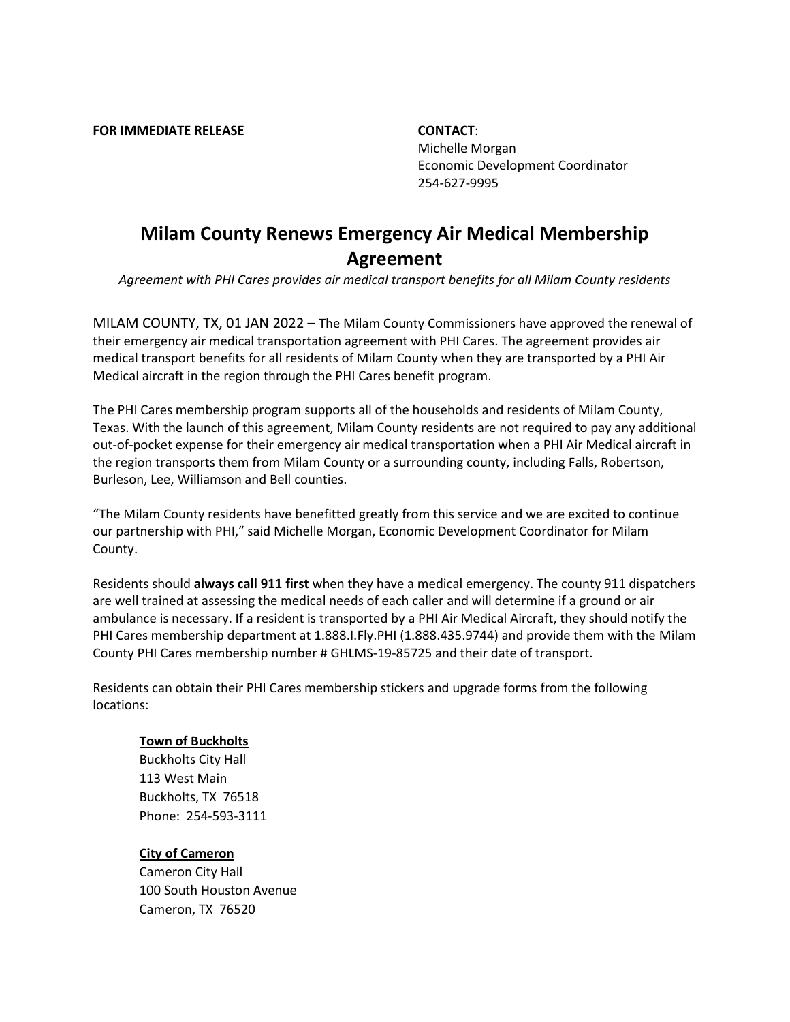**FOR IMMEDIATE RELEASE CONTACT**:

Michelle Morgan Economic Development Coordinator 254-627-9995

# **Milam County Renews Emergency Air Medical Membership Agreement**

*Agreement with PHI Cares provides air medical transport benefits for all Milam County residents* 

MILAM COUNTY, TX, 01 JAN 2022 – The Milam County Commissioners have approved the renewal of their emergency air medical transportation agreement with PHI Cares. The agreement provides air medical transport benefits for all residents of Milam County when they are transported by a PHI Air Medical aircraft in the region through the PHI Cares benefit program.

The PHI Cares membership program supports all of the households and residents of Milam County, Texas. With the launch of this agreement, Milam County residents are not required to pay any additional out-of-pocket expense for their emergency air medical transportation when a PHI Air Medical aircraft in the region transports them from Milam County or a surrounding county, including Falls, Robertson, Burleson, Lee, Williamson and Bell counties.

"The Milam County residents have benefitted greatly from this service and we are excited to continue our partnership with PHI," said Michelle Morgan, Economic Development Coordinator for Milam County.

Residents should **always call 911 first** when they have a medical emergency. The county 911 dispatchers are well trained at assessing the medical needs of each caller and will determine if a ground or air ambulance is necessary. If a resident is transported by a PHI Air Medical Aircraft, they should notify the PHI Cares membership department at 1.888.I.Fly.PHI (1.888.435.9744) and provide them with the Milam County PHI Cares membership number # GHLMS-19-85725 and their date of transport.

Residents can obtain their PHI Cares membership stickers and upgrade forms from the following locations:

## **Town of Buckholts**

Buckholts City Hall 113 West Main Buckholts, TX 76518 Phone: 254-593-3111

## **City of Cameron**

Cameron City Hall 100 South Houston Avenue Cameron, TX 76520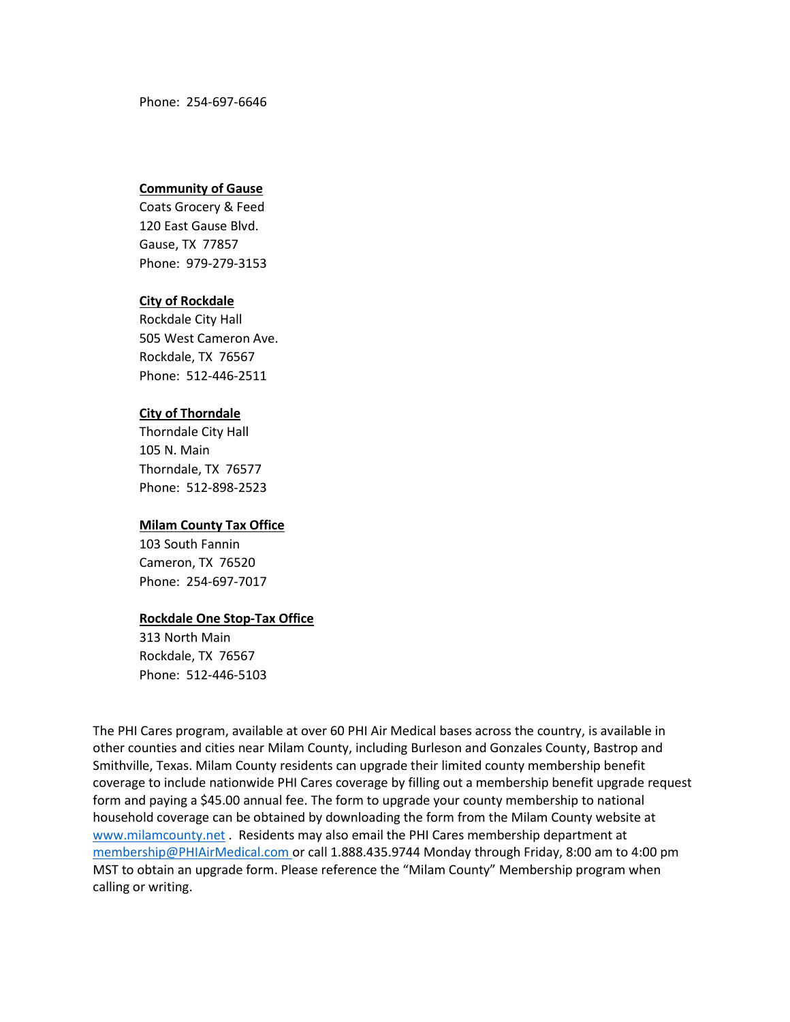Phone: 254-697-6646

## **Community of Gause**

Coats Grocery & Feed 120 East Gause Blvd. Gause, TX 77857 Phone: 979-279-3153

## **City of Rockdale**

Rockdale City Hall 505 West Cameron Ave. Rockdale, TX 76567 Phone: 512-446-2511

## **City of Thorndale**

Thorndale City Hall 105 N. Main Thorndale, TX 76577 Phone: 512-898-2523

## **Milam County Tax Office**

103 South Fannin Cameron, TX 76520 Phone: 254-697-7017

## **Rockdale One Stop-Tax Office**

313 North Main Rockdale, TX 76567 Phone: 512-446-5103

The PHI Cares program, available at over 60 PHI Air Medical bases across the country, is available in other counties and cities near Milam County, including Burleson and Gonzales County, Bastrop and Smithville, Texas. Milam County residents can upgrade their limited county membership benefit coverage to include nationwide PHI Cares coverage by filling out a membership benefit upgrade request form and paying a \$45.00 annual fee. The form to upgrade your county membership to national household coverage can be obtained by downloading the form from the Milam County website at [www.milamcounty.net](http://www.milamcounty.net/) . Residents may also email the PHI Cares membership department at [membership@PHIAirMedical.com](mailto:membership@PHIAirMedical.com) or call 1.888.435.9744 Monday through Friday, 8:00 am to 4:00 pm MST to obtain an upgrade form. Please reference the "Milam County" Membership program when calling or writing.